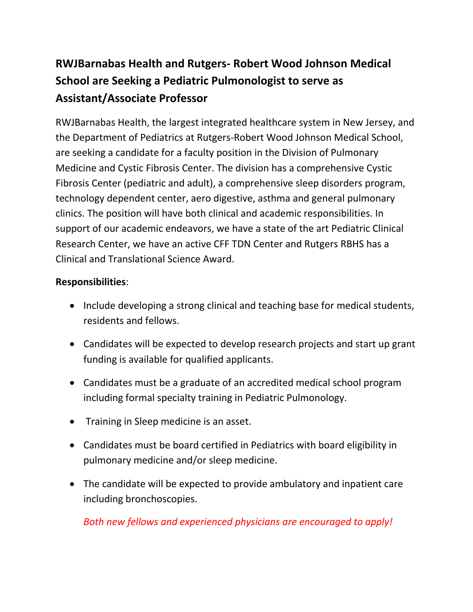## **RWJBarnabas Health and Rutgers- Robert Wood Johnson Medical School are Seeking a Pediatric Pulmonologist to serve as Assistant/Associate Professor**

RWJBarnabas Health, the largest integrated healthcare system in New Jersey, and the Department of Pediatrics at Rutgers-Robert Wood Johnson Medical School, are seeking a candidate for a faculty position in the Division of Pulmonary Medicine and Cystic Fibrosis Center. The division has a comprehensive Cystic Fibrosis Center (pediatric and adult), a comprehensive sleep disorders program, technology dependent center, aero digestive, asthma and general pulmonary clinics. The position will have both clinical and academic responsibilities. In support of our academic endeavors, we have a state of the art Pediatric Clinical Research Center, we have an active CFF TDN Center and Rutgers RBHS has a Clinical and Translational Science Award.

## **Responsibilities**:

- Include developing a strong clinical and teaching base for medical students, residents and fellows.
- Candidates will be expected to develop research projects and start up grant funding is available for qualified applicants.
- Candidates must be a graduate of an accredited medical school program including formal specialty training in Pediatric Pulmonology.
- Training in Sleep medicine is an asset.
- Candidates must be board certified in Pediatrics with board eligibility in pulmonary medicine and/or sleep medicine.
- The candidate will be expected to provide ambulatory and inpatient care including bronchoscopies.

*Both new fellows and experienced physicians are encouraged to apply!*